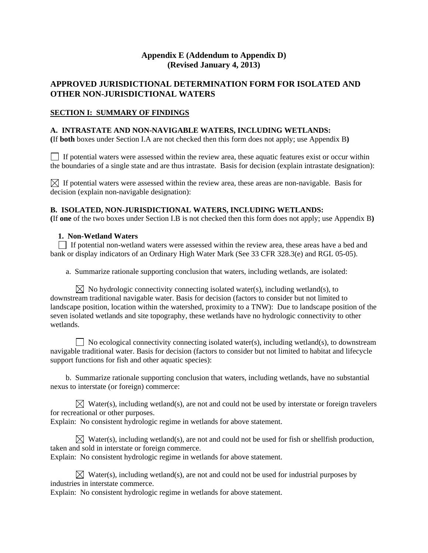# **Appendix E (Addendum to Appendix D) (Revised January 4, 2013)**

# **APPROVED JURISDICTIONAL DETERMINATION FORM FOR ISOLATED AND OTHER NON-JURISDICTIONAL WATERS**

#### **SECTION I: SUMMARY OF FINDINGS**

#### **A. INTRASTATE AND NON-NAVIGABLE WATERS, INCLUDING WETLANDS:**

**(**If **both** boxes under Section I.A are not checked then this form does not apply; use Appendix B**)** 

 $\Box$  If potential waters were assessed within the review area, these aquatic features exist or occur within the boundaries of a single state and are thus intrastate. Basis for decision (explain intrastate designation):

 $\boxtimes$  If potential waters were assessed within the review area, these areas are non-navigable. Basis for decision (explain non-navigable designation):

#### **B. ISOLATED, NON-JURISDICTIONAL WATERS, INCLUDING WETLANDS:**

**(**If **one** of the two boxes under Section I.B is not checked then this form does not apply; use Appendix B**)** 

#### **1. Non-Wetland Waters**

 If potential non-wetland waters were assessed within the review area, these areas have a bed and bank or display indicators of an Ordinary High Water Mark (See 33 CFR 328.3(e) and RGL 05-05).

a. Summarize rationale supporting conclusion that waters, including wetlands, are isolated:

 $\boxtimes$  No hydrologic connectivity connecting isolated water(s), including wetland(s), to downstream traditional navigable water. Basis for decision (factors to consider but not limited to landscape position, location within the watershed, proximity to a TNW): Due to landscape position of the seven isolated wetlands and site topography, these wetlands have no hydrologic connectivity to other wetlands.

 $\Box$  No ecological connectivity connecting isolated water(s), including wetland(s), to downstream navigable traditional water. Basis for decision (factors to consider but not limited to habitat and lifecycle support functions for fish and other aquatic species):

b. Summarize rationale supporting conclusion that waters, including wetlands, have no substantial nexus to interstate (or foreign) commerce:

 $\boxtimes$  Water(s), including wetland(s), are not and could not be used by interstate or foreign travelers for recreational or other purposes.

Explain: No consistent hydrologic regime in wetlands for above statement.

Water(s), including wetland(s), are not and could not be used for fish or shellfish production, taken and sold in interstate or foreign commerce. Explain: No consistent hydrologic regime in wetlands for above statement.

 $\boxtimes$  Water(s), including wetland(s), are not and could not be used for industrial purposes by industries in interstate commerce.

Explain: No consistent hydrologic regime in wetlands for above statement.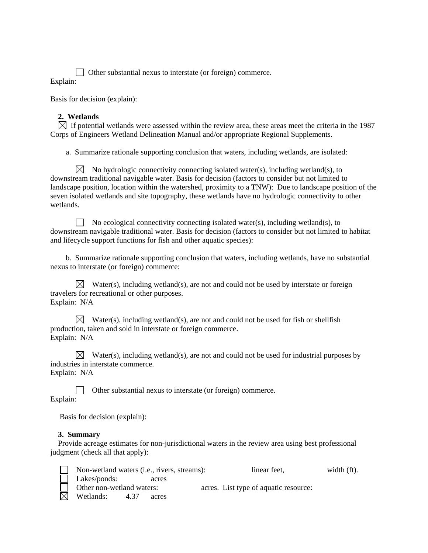Other substantial nexus to interstate (or foreign) commerce. Explain:

Basis for decision (explain):

# **2. Wetlands**

 $\boxtimes$  If potential wetlands were assessed within the review area, these areas meet the criteria in the 1987 Corps of Engineers Wetland Delineation Manual and/or appropriate Regional Supplements.

a. Summarize rationale supporting conclusion that waters, including wetlands, are isolated:

 $\boxtimes$  No hydrologic connectivity connecting isolated water(s), including wetland(s), to downstream traditional navigable water. Basis for decision (factors to consider but not limited to landscape position, location within the watershed, proximity to a TNW): Due to landscape position of the seven isolated wetlands and site topography, these wetlands have no hydrologic connectivity to other wetlands.

No ecological connectivity connecting isolated water(s), including wetland(s), to downstream navigable traditional water. Basis for decision (factors to consider but not limited to habitat and lifecycle support functions for fish and other aquatic species):

b. Summarize rationale supporting conclusion that waters, including wetlands, have no substantial nexus to interstate (or foreign) commerce:

 $\boxtimes$  Water(s), including wetland(s), are not and could not be used by interstate or foreign travelers for recreational or other purposes. Explain: N/A

 $\boxtimes$  Water(s), including wetland(s), are not and could not be used for fish or shellfish production, taken and sold in interstate or foreign commerce. Explain: N/A

 $\boxtimes$  Water(s), including wetland(s), are not and could not be used for industrial purposes by industries in interstate commerce.

Explain: N/A

 Other substantial nexus to interstate (or foreign) commerce. Explain:

Basis for decision (explain):

### **3. Summary**

 Provide acreage estimates for non-jurisdictional waters in the review area using best professional judgment (check all that apply):

| Non-wetland waters (i.e., rivers, streams): |      |       | linear feet,                          | width $(ft)$ . |
|---------------------------------------------|------|-------|---------------------------------------|----------------|
| Lakes/ponds:                                |      | acres |                                       |                |
| Other non-wetland waters:                   |      |       | acres. List type of aquatic resource: |                |
| Wetlands:                                   | 4.37 | acres |                                       |                |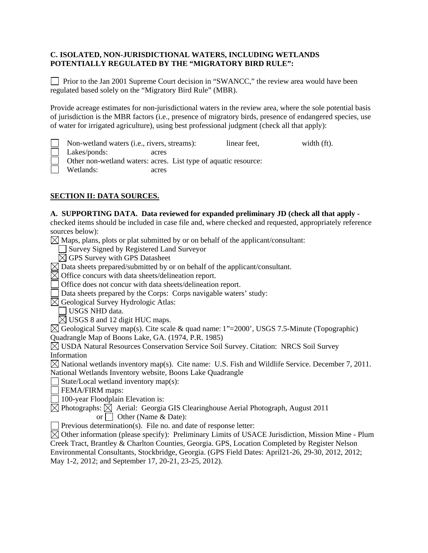### **C. ISOLATED, NON-JURISDICTIONAL WATERS, INCLUDING WETLANDS POTENTIALLY REGULATED BY THE "MIGRATORY BIRD RULE":**

**Prior to the Jan 2001 Supreme Court decision in "SWANCC,"** the review area would have been regulated based solely on the "Migratory Bird Rule" (MBR).

Provide acreage estimates for non-jurisdictional waters in the review area, where the sole potential basis of jurisdiction is the MBR factors (i.e., presence of migratory birds, presence of endangered species, use of water for irrigated agriculture), using best professional judgment (check all that apply):

Non-wetland waters (i.e., rivers, streams): linear feet, width (ft).

Lakes/ponds: acres

Other non-wetland waters: acres. List type of aquatic resource:

Wetlands: acres

# **SECTION II: DATA SOURCES.**

### **A. SUPPORTING DATA. Data reviewed for expanded preliminary JD (check all that apply -**

checked items should be included in case file and, where checked and requested, appropriately reference sources below):

 $\boxtimes$  Maps, plans, plots or plat submitted by or on behalf of the applicant/consultant:

Survey Signed by Registered Land Surveyor

 $\boxtimes$  GPS Survey with GPS Datasheet

 $\boxtimes$  Data sheets prepared/submitted by or on behalf of the applicant/consultant.

 $\boxtimes$  Office concurs with data sheets/delineation report.

Office does not concur with data sheets/delineation report.

Data sheets prepared by the Corps: Corps navigable waters' study:

 $\boxtimes$  Geological Survey Hydrologic Atlas:

USGS NHD data.

 $\boxtimes$  USGS 8 and 12 digit HUC maps.

 $\boxtimes$  Geological Survey map(s). Cite scale & quad name: 1"=2000", USGS 7.5-Minute (Topographic) Quadrangle Map of Boons Lake, GA. (1974, P.R. 1985)

 USDA Natural Resources Conservation Service Soil Survey. Citation: NRCS Soil Survey Information

 $\boxtimes$  National wetlands inventory map(s). Cite name: U.S. Fish and Wildlife Service. December 7, 2011. National Wetlands Inventory website, Boons Lake Quadrangle

State/Local wetland inventory map(s):

**FEMA/FIRM** maps:

100-year Floodplain Elevation is:

 $\boxtimes$  Photographs:  $\boxtimes$  Aerial: Georgia GIS Clearinghouse Aerial Photograph, August 2011 or  $\Box$  Other (Name & Date):

 $\Box$  Previous determination(s). File no. and date of response letter:

 $\boxtimes$  Other information (please specify): Preliminary Limits of USACE Jurisdiction, Mission Mine - Plum Creek Tract, Brantley & Charlton Counties, Georgia. GPS, Location Completed by Register Nelson Environmental Consultants, Stockbridge, Georgia. (GPS Field Dates: April21-26, 29-30, 2012, 2012;

May 1-2, 2012; and September 17, 20-21, 23-25, 2012).